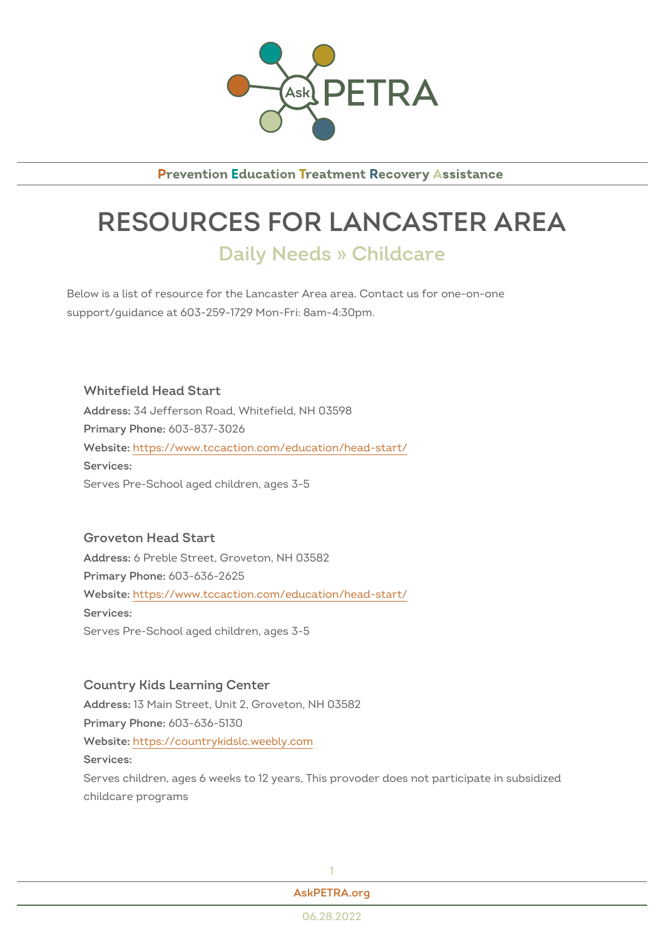

**Prevention Education Treatment Recovery Assistance** 

## RESOURCES FOR LANCASTER Daily Needs » Childcare

Below is a list of resource for the Lancaster Area area. Contact us for one support/guidance at 603-259-1729 Mon-Fri: 8am-4:30pm.

Whitefield Head Start Addres 34 Jefferson Road, Whitefield, NH 03598 Primary Phono8: 837-3026 Websithet: t ps://www.tccaction.com/education/head-start/ Services: Serves Pre-School aged children, ages 3-5

Groveton Head Start Addres6: Preble Street, Groveton, NH 03582 Primary Phono8: 636-2625  $W$ ebsithet: tps://www.tccaction.com/education/head-start/ Services: Serves Pre-School aged children, ages 3-5

Country Kids Learning Center Addres\$3 Main Street, Unit 2, Groveton, NH 03582 Primary Phono8: 636-5130 Websithet: tps://countrykidslc.weebly.com Services: Serves children, ages 6 weeks to 12 years, This provoder does not partic childcare programs

| ٠ |  |
|---|--|
|   |  |
|   |  |

[AskPETRA](https://askpetra.org).org